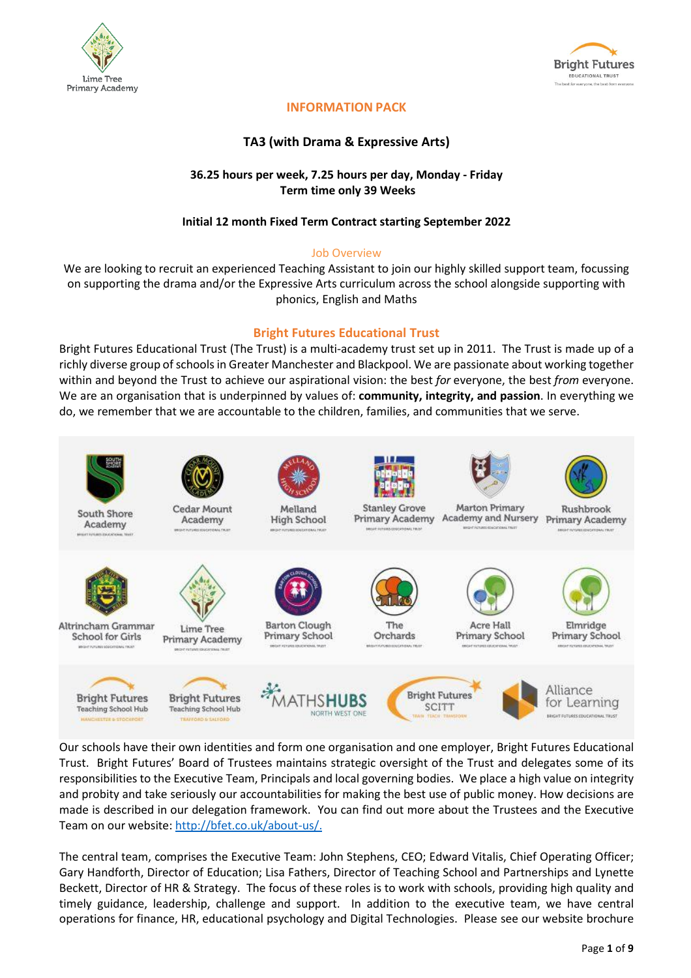



# **INFORMATION PACK**

# **TA3 (with Drama & Expressive Arts)**

### **36.25 hours per week, 7.25 hours per day, Monday - Friday Term time only 39 Weeks**

#### **Initial 12 month Fixed Term Contract starting September 2022**

#### Job Overview

We are looking to recruit an experienced Teaching Assistant to join our highly skilled support team, focussing on supporting the drama and/or the Expressive Arts curriculum across the school alongside supporting with phonics, English and Maths

# **Bright Futures Educational Trust**

Bright Futures Educational Trust (The Trust) is a multi-academy trust set up in 2011. The Trust is made up of a richly diverse group of schools in Greater Manchester and Blackpool. We are passionate about working together within and beyond the Trust to achieve our aspirational vision: the best *for* everyone, the best *from* everyone. We are an organisation that is underpinned by values of: **community, integrity, and passion**. In everything we do, we remember that we are accountable to the children, families, and communities that we serve.



Our schools have their own identities and form one organisation and one employer, Bright Futures Educational Trust. Bright Futures' Board of Trustees maintains strategic oversight of the Trust and delegates some of its responsibilities to the Executive Team, Principals and local governing bodies. We place a high value on integrity and probity and take seriously our accountabilities for making the best use of public money. How decisions are made is described in our delegation framework. You can find out more about the Trustees and the Executive Team on our website: [http://bfet.co.uk/about-us/.](http://bfet.co.uk/about-us/)

The central team, comprises the Executive Team: John Stephens, CEO; Edward Vitalis, Chief Operating Officer; Gary Handforth, Director of Education; Lisa Fathers, Director of Teaching School and Partnerships and Lynette Beckett, Director of HR & Strategy. The focus of these roles is to work with schools, providing high quality and timely guidance, leadership, challenge and support. In addition to the executive team, we have central operations for finance, HR, educational psychology and Digital Technologies. Please see our website brochure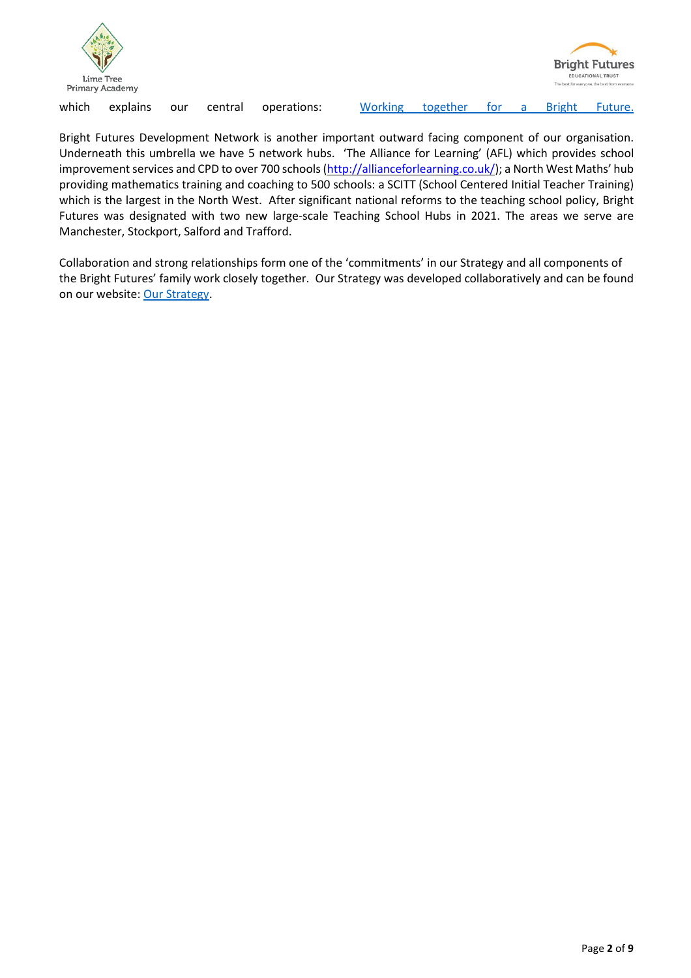



which explains our central operations: <u>[Working](http://bfet.co.uk/wp-content/uploads/2019/07/BFET-Booklet-July-2019.pdf) together for a Bright Future.</u>

Bright Futures Development Network is another important outward facing component of our organisation. Underneath this umbrella we have 5 network hubs. 'The Alliance for Learning' (AFL) which provides school improvement services and CPD to over 700 schools [\(http://allianceforlearning.co.uk/\)](http://allianceforlearning.co.uk/); a North West Maths' hub providing mathematics training and coaching to 500 schools: a SCITT (School Centered Initial Teacher Training) which is the largest in the North West. After significant national reforms to the teaching school policy, Bright Futures was designated with two new large-scale Teaching School Hubs in 2021. The areas we serve are Manchester, Stockport, Salford and Trafford.

Collaboration and strong relationships form one of the 'commitments' in our Strategy and all components of the Bright Futures' family work closely together. Our Strategy was developed collaboratively and can be found on our website: Our [Strategy.](http://bfet.co.uk/about-us/our-strategy/)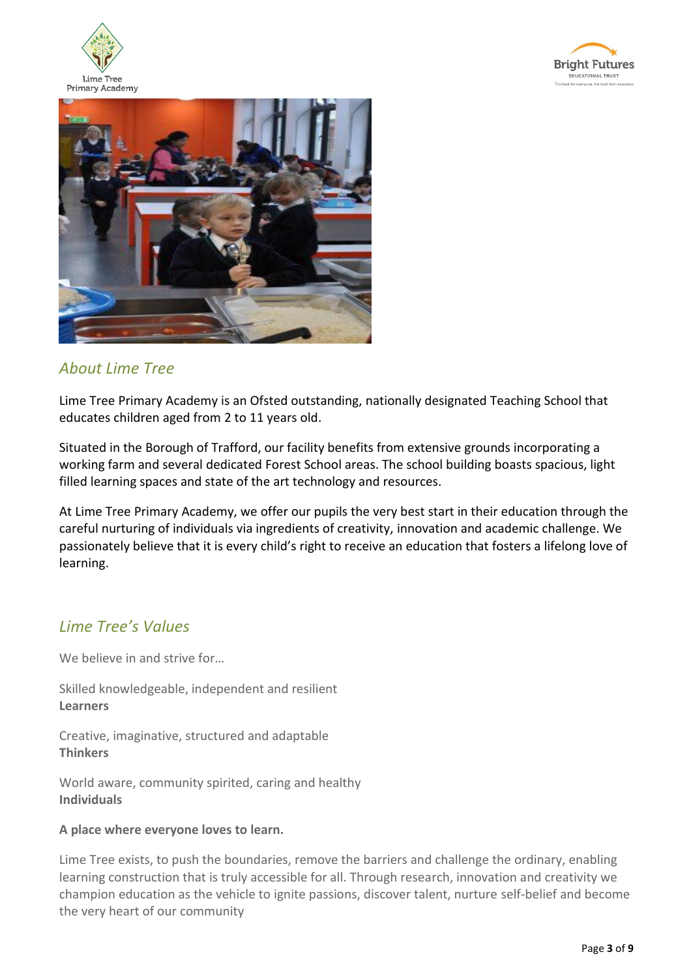





# *About Lime Tree*

Lime Tree Primary Academy is an Ofsted outstanding, nationally designated Teaching School that educates children aged from 2 to 11 years old.

Situated in the Borough of Trafford, our facility benefits from extensive grounds incorporating a working farm and several dedicated Forest School areas. The school building boasts spacious, light filled learning spaces and state of the art technology and resources.

At Lime Tree Primary Academy, we offer our pupils the very best start in their education through the careful nurturing of individuals via ingredients of creativity, innovation and academic challenge. We passionately believe that it is every child's right to receive an education that fosters a lifelong love of learning.

# *Lime Tree's Values*

We believe in and strive for…

Skilled knowledgeable, independent and resilient **Learners**

Creative, imaginative, structured and adaptable **Thinkers**

World aware, community spirited, caring and healthy **Individuals**

# **A place where everyone loves to learn.**

Lime Tree exists, to push the boundaries, remove the barriers and challenge the ordinary, enabling learning construction that is truly accessible for all. Through research, innovation and creativity we champion education as the vehicle to ignite passions, discover talent, nurture self-belief and become the very heart of our community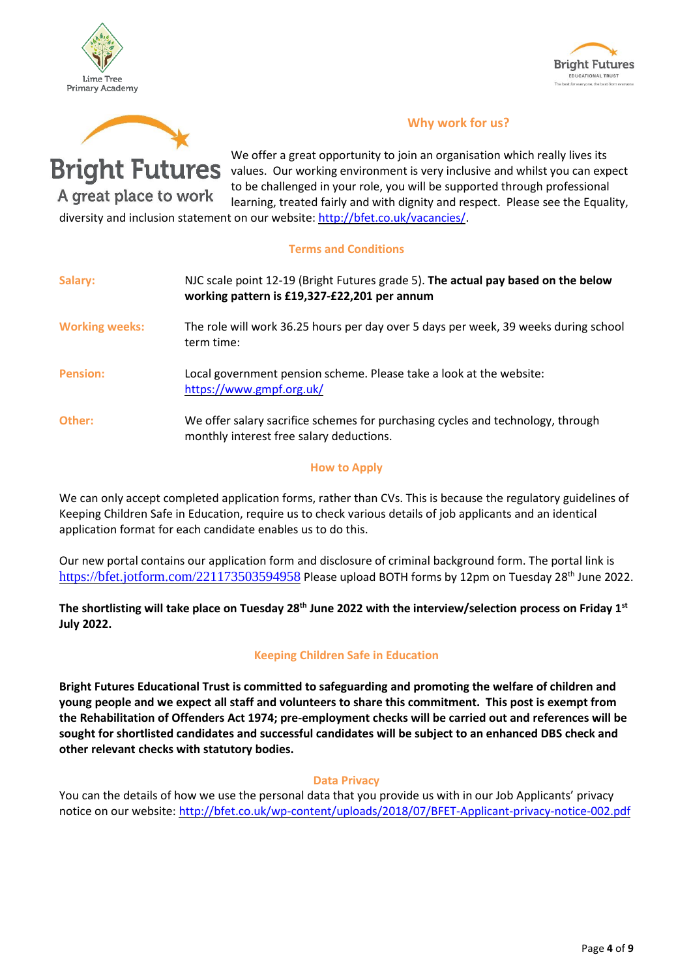





**Bright Futures** 

A great place to work

 **Why work for us?**

We offer a great opportunity to join an organisation which really lives its values. Our working environment is very inclusive and whilst you can expect to be challenged in your role, you will be supported through professional learning, treated fairly and with dignity and respect. Please see the Equality,

diversity and inclusion statement on our website: [http://bfet.co.uk/vacancies/.](http://bfet.co.uk/vacancies/)

#### **Terms and Conditions**

| Salary:               | NJC scale point 12-19 (Bright Futures grade 5). The actual pay based on the below<br>working pattern is £19,327-£22,201 per annum |
|-----------------------|-----------------------------------------------------------------------------------------------------------------------------------|
| <b>Working weeks:</b> | The role will work 36.25 hours per day over 5 days per week, 39 weeks during school<br>term time:                                 |
| <b>Pension:</b>       | Local government pension scheme. Please take a look at the website:<br>https://www.gmpf.org.uk/                                   |
| Other:                | We offer salary sacrifice schemes for purchasing cycles and technology, through<br>monthly interest free salary deductions.       |

#### **How to Apply**

We can only accept completed application forms, rather than CVs. This is because the regulatory guidelines of Keeping Children Safe in Education, require us to check various details of job applicants and an identical application format for each candidate enables us to do this.

Our new portal contains our application form and disclosure of criminal background form. The portal link is <https://bfet.jotform.com/221173503594958> Please upload BOTH forms by 12pm on Tuesday 28<sup>th</sup> June 2022.

The shortlisting will take place on Tuesday 28<sup>th</sup> June 2022 with the interview/selection process on Friday 1st **July 2022.**

# **Keeping Children Safe in Education**

**Bright Futures Educational Trust is committed to safeguarding and promoting the welfare of children and young people and we expect all staff and volunteers to share this commitment. This post is exempt from the Rehabilitation of Offenders Act 1974; pre-employment checks will be carried out and references will be sought for shortlisted candidates and successful candidates will be subject to an enhanced DBS check and other relevant checks with statutory bodies.**

#### **Data Privacy**

You can the details of how we use the personal data that you provide us with in our Job Applicants' privacy notice on our website: <http://bfet.co.uk/wp-content/uploads/2018/07/BFET-Applicant-privacy-notice-002.pdf>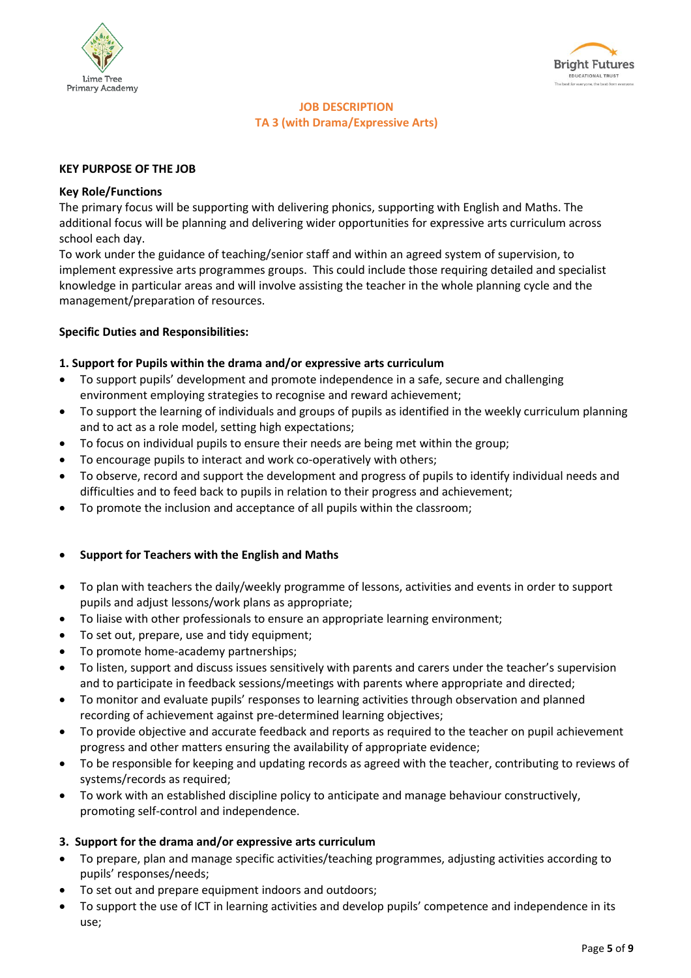



# **JOB DESCRIPTION TA 3 (with Drama/Expressive Arts)**

#### **KEY PURPOSE OF THE JOB**

#### **Key Role/Functions**

The primary focus will be supporting with delivering phonics, supporting with English and Maths. The additional focus will be planning and delivering wider opportunities for expressive arts curriculum across school each day.

To work under the guidance of teaching/senior staff and within an agreed system of supervision, to implement expressive arts programmes groups. This could include those requiring detailed and specialist knowledge in particular areas and will involve assisting the teacher in the whole planning cycle and the management/preparation of resources.

#### **Specific Duties and Responsibilities:**

#### **1. Support for Pupils within the drama and/or expressive arts curriculum**

- To support pupils' development and promote independence in a safe, secure and challenging environment employing strategies to recognise and reward achievement;
- To support the learning of individuals and groups of pupils as identified in the weekly curriculum planning and to act as a role model, setting high expectations;
- To focus on individual pupils to ensure their needs are being met within the group;
- To encourage pupils to interact and work co-operatively with others;
- To observe, record and support the development and progress of pupils to identify individual needs and difficulties and to feed back to pupils in relation to their progress and achievement;
- To promote the inclusion and acceptance of all pupils within the classroom;

#### • **Support for Teachers with the English and Maths**

- To plan with teachers the daily/weekly programme of lessons, activities and events in order to support pupils and adjust lessons/work plans as appropriate;
- To liaise with other professionals to ensure an appropriate learning environment;
- To set out, prepare, use and tidy equipment;
- To promote home-academy partnerships;
- To listen, support and discuss issues sensitively with parents and carers under the teacher's supervision and to participate in feedback sessions/meetings with parents where appropriate and directed;
- To monitor and evaluate pupils' responses to learning activities through observation and planned recording of achievement against pre-determined learning objectives;
- To provide objective and accurate feedback and reports as required to the teacher on pupil achievement progress and other matters ensuring the availability of appropriate evidence;
- To be responsible for keeping and updating records as agreed with the teacher, contributing to reviews of systems/records as required;
- To work with an established discipline policy to anticipate and manage behaviour constructively, promoting self-control and independence.

#### **3. Support for the drama and/or expressive arts curriculum**

- To prepare, plan and manage specific activities/teaching programmes, adjusting activities according to pupils' responses/needs;
- To set out and prepare equipment indoors and outdoors;
- To support the use of ICT in learning activities and develop pupils' competence and independence in its use;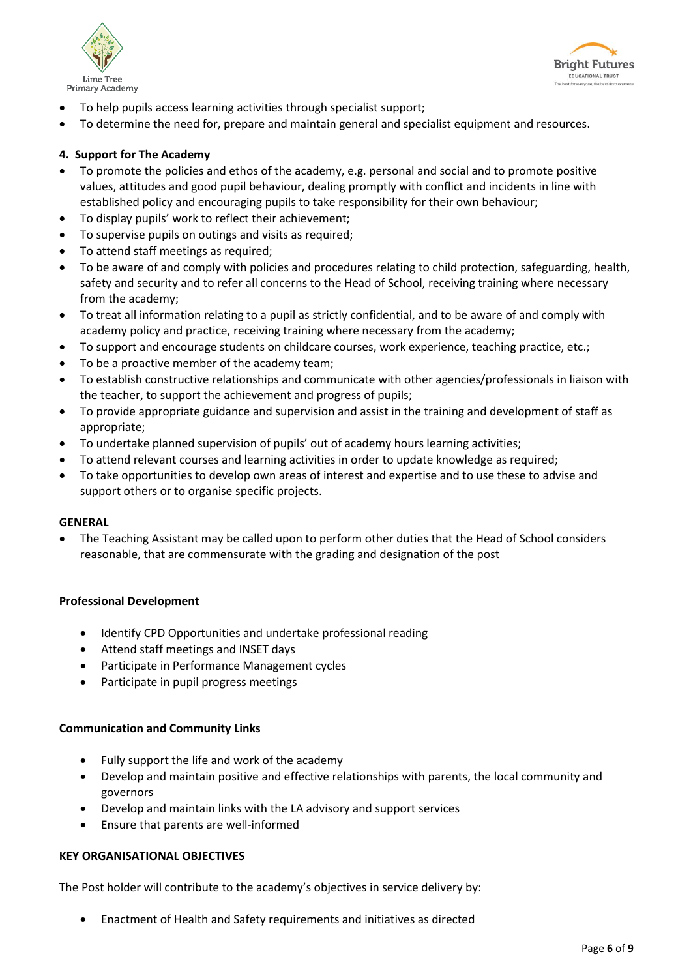



- To help pupils access learning activities through specialist support;
- To determine the need for, prepare and maintain general and specialist equipment and resources.

#### **4. Support for The Academy**

- To promote the policies and ethos of the academy, e.g. personal and social and to promote positive values, attitudes and good pupil behaviour, dealing promptly with conflict and incidents in line with established policy and encouraging pupils to take responsibility for their own behaviour;
- To display pupils' work to reflect their achievement;
- To supervise pupils on outings and visits as required;
- To attend staff meetings as required;
- To be aware of and comply with policies and procedures relating to child protection, safeguarding, health, safety and security and to refer all concerns to the Head of School, receiving training where necessary from the academy;
- To treat all information relating to a pupil as strictly confidential, and to be aware of and comply with academy policy and practice, receiving training where necessary from the academy;
- To support and encourage students on childcare courses, work experience, teaching practice, etc.;
- To be a proactive member of the academy team;
- To establish constructive relationships and communicate with other agencies/professionals in liaison with the teacher, to support the achievement and progress of pupils;
- To provide appropriate guidance and supervision and assist in the training and development of staff as appropriate;
- To undertake planned supervision of pupils' out of academy hours learning activities;
- To attend relevant courses and learning activities in order to update knowledge as required;
- To take opportunities to develop own areas of interest and expertise and to use these to advise and support others or to organise specific projects.

#### **GENERAL**

• The Teaching Assistant may be called upon to perform other duties that the Head of School considers reasonable, that are commensurate with the grading and designation of the post

#### **Professional Development**

- Identify CPD Opportunities and undertake professional reading
- Attend staff meetings and INSET days
- Participate in Performance Management cycles
- Participate in pupil progress meetings

#### **Communication and Community Links**

- Fully support the life and work of the academy
- Develop and maintain positive and effective relationships with parents, the local community and governors
- Develop and maintain links with the LA advisory and support services
- Ensure that parents are well-informed

#### **KEY ORGANISATIONAL OBJECTIVES**

The Post holder will contribute to the academy's objectives in service delivery by:

• Enactment of Health and Safety requirements and initiatives as directed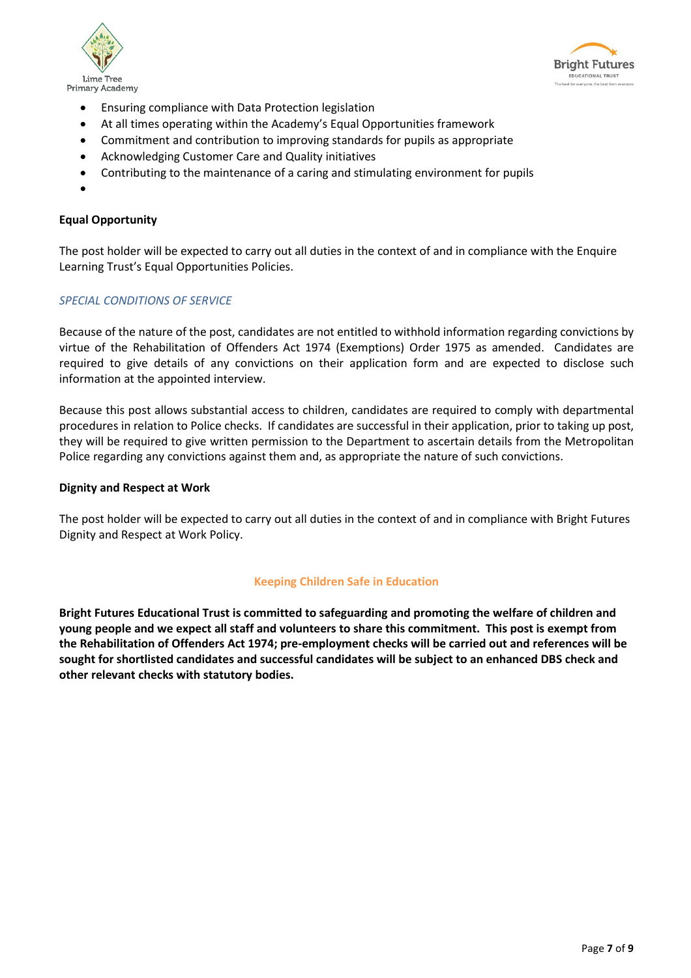



- Ensuring compliance with Data Protection legislation
- At all times operating within the Academy's Equal Opportunities framework
- Commitment and contribution to improving standards for pupils as appropriate
- Acknowledging Customer Care and Quality initiatives
- Contributing to the maintenance of a caring and stimulating environment for pupils
- •

#### **Equal Opportunity**

The post holder will be expected to carry out all duties in the context of and in compliance with the Enquire Learning Trust's Equal Opportunities Policies.

#### *SPECIAL CONDITIONS OF SERVICE*

Because of the nature of the post, candidates are not entitled to withhold information regarding convictions by virtue of the Rehabilitation of Offenders Act 1974 (Exemptions) Order 1975 as amended. Candidates are required to give details of any convictions on their application form and are expected to disclose such information at the appointed interview.

Because this post allows substantial access to children, candidates are required to comply with departmental procedures in relation to Police checks. If candidates are successful in their application, prior to taking up post, they will be required to give written permission to the Department to ascertain details from the Metropolitan Police regarding any convictions against them and, as appropriate the nature of such convictions.

#### **Dignity and Respect at Work**

The post holder will be expected to carry out all duties in the context of and in compliance with Bright Futures Dignity and Respect at Work Policy.

#### **Keeping Children Safe in Education**

**Bright Futures Educational Trust is committed to safeguarding and promoting the welfare of children and young people and we expect all staff and volunteers to share this commitment. This post is exempt from the Rehabilitation of Offenders Act 1974; pre-employment checks will be carried out and references will be sought for shortlisted candidates and successful candidates will be subject to an enhanced DBS check and other relevant checks with statutory bodies.**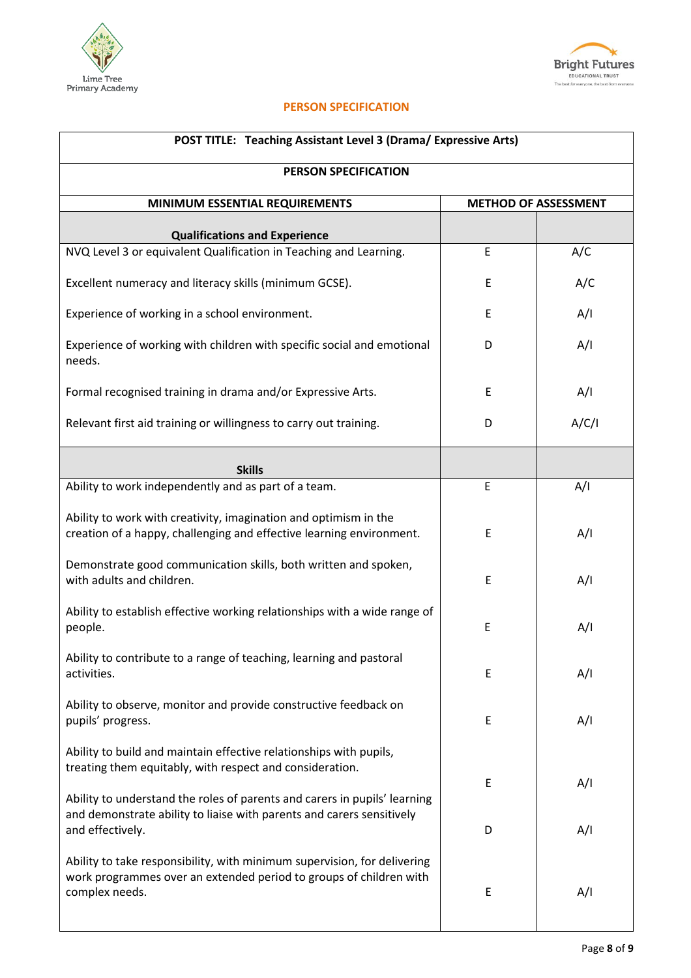



#### **PERSON SPECIFICATION**

| <b>POST TITLE: Teaching Assistant Level 3 (Drama/ Expressive Arts)</b>                                                                                           |                             |       |  |  |  |
|------------------------------------------------------------------------------------------------------------------------------------------------------------------|-----------------------------|-------|--|--|--|
| PERSON SPECIFICATION                                                                                                                                             |                             |       |  |  |  |
| <b>MINIMUM ESSENTIAL REQUIREMENTS</b>                                                                                                                            | <b>METHOD OF ASSESSMENT</b> |       |  |  |  |
| <b>Qualifications and Experience</b>                                                                                                                             |                             |       |  |  |  |
| NVQ Level 3 or equivalent Qualification in Teaching and Learning.                                                                                                | E                           | A/C   |  |  |  |
| Excellent numeracy and literacy skills (minimum GCSE).                                                                                                           | E                           | A/C   |  |  |  |
| Experience of working in a school environment.                                                                                                                   | E                           | A/I   |  |  |  |
| Experience of working with children with specific social and emotional<br>needs.                                                                                 | D                           | A/I   |  |  |  |
| Formal recognised training in drama and/or Expressive Arts.                                                                                                      | E                           | A/I   |  |  |  |
| Relevant first aid training or willingness to carry out training.                                                                                                | D                           | A/C/I |  |  |  |
| <b>Skills</b>                                                                                                                                                    |                             |       |  |  |  |
| Ability to work independently and as part of a team.                                                                                                             | E                           | A/I   |  |  |  |
| Ability to work with creativity, imagination and optimism in the<br>creation of a happy, challenging and effective learning environment.                         | E                           | A/I   |  |  |  |
| Demonstrate good communication skills, both written and spoken,<br>with adults and children.                                                                     | E                           | A/I   |  |  |  |
| Ability to establish effective working relationships with a wide range of<br>people.                                                                             | E                           | A/I   |  |  |  |
| Ability to contribute to a range of teaching, learning and pastoral<br>activities.                                                                               | E                           | A/I   |  |  |  |
| Ability to observe, monitor and provide constructive feedback on<br>pupils' progress.                                                                            | E                           | A/I   |  |  |  |
| Ability to build and maintain effective relationships with pupils,<br>treating them equitably, with respect and consideration.                                   |                             |       |  |  |  |
| Ability to understand the roles of parents and carers in pupils' learning                                                                                        | E                           | A/I   |  |  |  |
| and demonstrate ability to liaise with parents and carers sensitively<br>and effectively.                                                                        | D                           | A/I   |  |  |  |
| Ability to take responsibility, with minimum supervision, for delivering<br>work programmes over an extended period to groups of children with<br>complex needs. | E                           | A/I   |  |  |  |